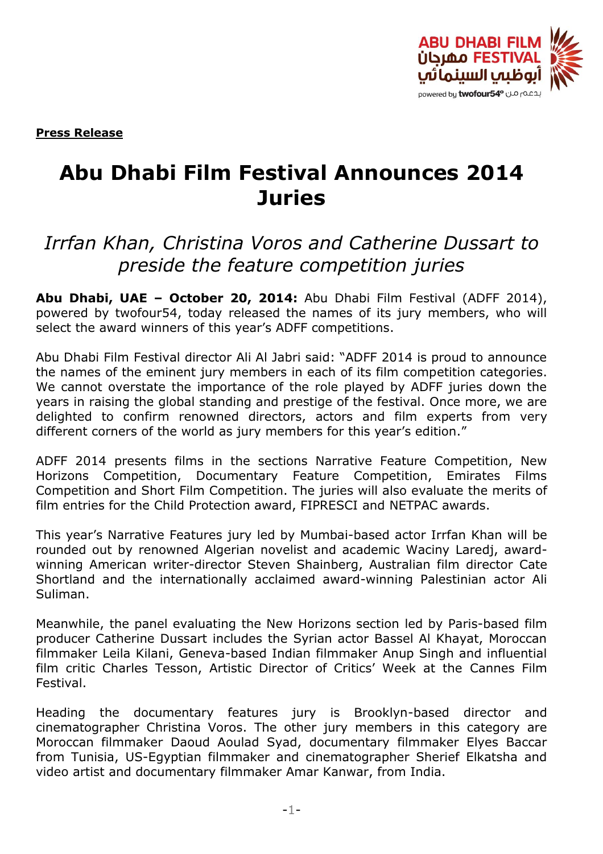

**Press Release**

# **Abu Dhabi Film Festival Announces 2014 Juries**

## *Irrfan Khan, Christina Voros and Catherine Dussart to preside the feature competition juries*

**Abu Dhabi, UAE – October 20, 2014:** Abu Dhabi Film Festival (ADFF 2014), powered by twofour54, today released the names of its jury members, who will select the award winners of this year's ADFF competitions.

Abu Dhabi Film Festival director Ali Al Jabri said: "ADFF 2014 is proud to announce the names of the eminent jury members in each of its film competition categories. We cannot overstate the importance of the role played by ADFF juries down the years in raising the global standing and prestige of the festival. Once more, we are delighted to confirm renowned directors, actors and film experts from very different corners of the world as jury members for this year's edition."

ADFF 2014 presents films in the sections Narrative Feature Competition, New Horizons Competition, Documentary Feature Competition, Emirates Films Competition and Short Film Competition. The juries will also evaluate the merits of film entries for the Child Protection award, FIPRESCI and NETPAC awards.

This year's Narrative Features jury led by Mumbai-based actor Irrfan Khan will be rounded out by renowned Algerian novelist and academic Waciny Laredj, awardwinning American writer-director Steven Shainberg, Australian film director Cate Shortland and the internationally acclaimed award-winning Palestinian actor Ali Suliman.

Meanwhile, the panel evaluating the New Horizons section led by Paris-based film producer Catherine Dussart includes the Syrian actor Bassel Al Khayat, Moroccan filmmaker Leila Kilani, Geneva-based Indian filmmaker Anup Singh and influential film critic Charles Tesson, Artistic Director of Critics' Week at the Cannes Film Festival.

Heading the documentary features jury is Brooklyn-based director and cinematographer Christina Voros. The other jury members in this category are Moroccan filmmaker Daoud Aoulad Syad, documentary filmmaker Elyes Baccar from Tunisia, US-Egyptian filmmaker and cinematographer Sherief Elkatsha and video artist and documentary filmmaker Amar Kanwar, from India.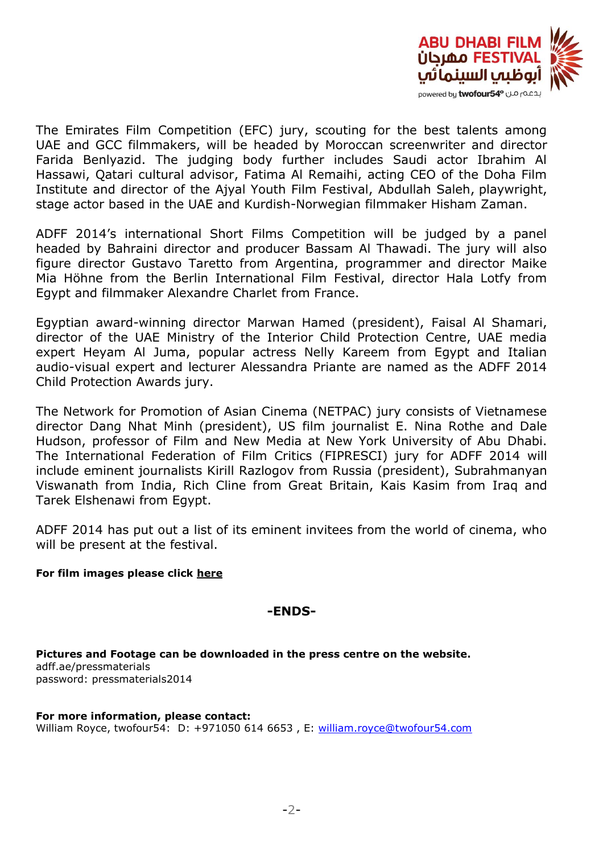

The Emirates Film Competition (EFC) jury, scouting for the best talents among UAE and GCC filmmakers, will be headed by Moroccan screenwriter and director Farida Benlyazid. The judging body further includes Saudi actor Ibrahim Al Hassawi, Qatari cultural advisor, Fatima Al Remaihi, acting CEO of the Doha Film Institute and director of the Ajyal Youth Film Festival, Abdullah Saleh, playwright, stage actor based in the UAE and Kurdish-Norwegian filmmaker Hisham Zaman.

ADFF 2014's international Short Films Competition will be judged by a panel headed by Bahraini director and producer Bassam Al Thawadi. The jury will also figure director Gustavo Taretto from Argentina, programmer and director Maike Mia Höhne from the Berlin International Film Festival, director Hala Lotfy from Egypt and filmmaker Alexandre Charlet from France.

Egyptian award-winning director Marwan Hamed (president), Faisal Al Shamari, director of the UAE Ministry of the Interior Child Protection Centre, UAE media expert Heyam Al Juma, popular actress Nelly Kareem from Egypt and Italian audio-visual expert and lecturer Alessandra Priante are named as the ADFF 2014 Child Protection Awards jury.

The Network for Promotion of Asian Cinema (NETPAC) jury consists of Vietnamese director Dang Nhat Minh (president), US film journalist E. Nina Rothe and Dale Hudson, professor of Film and New Media at New York University of Abu Dhabi. The International Federation of Film Critics (FIPRESCI) jury for ADFF 2014 will include eminent journalists Kirill Razlogov from Russia (president), Subrahmanyan Viswanath from India, Rich Cline from Great Britain, Kais Kasim from Iraq and Tarek Elshenawi from Egypt.

ADFF 2014 has put out a list of its eminent invitees from the world of cinema, who will be present at the festival.

## **For film images please click [here](https://drive.google.com/a/adff.ae/folderview?id=0B3nd8UHIg4EAS25QUF90b2FlUjA&usp=drive_web&ddrp=1)**

## **-ENDS-**

**Pictures and Footage can be downloaded in the press centre on the website.** adff.ae/pressmaterials password: pressmaterials2014

**For more information, please contact:** William Royce, twofour54: D: +971050 614 6653, E: [william.royce@twofour54.com](mailto:mawya.alqaissieh@twofour54.com)